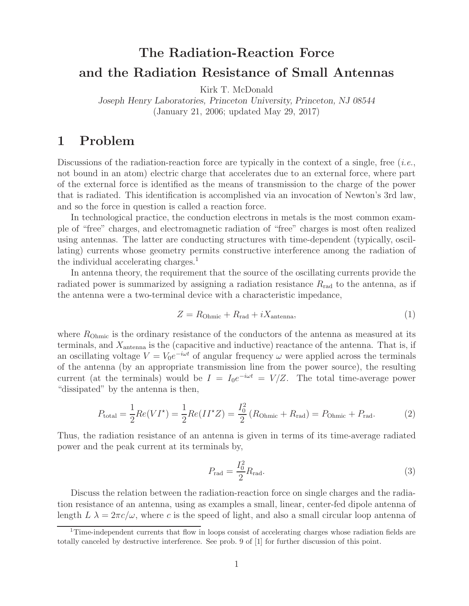# **The Radiation-Reaction Force and the Radiation Resistance of Small Antennas**

Kirk T. McDonald

*Joseph Henry Laboratories, Princeton University, Princeton, NJ 08544* (January 21, 2006; updated May 29, 2017)

# **1 Problem**

Discussions of the radiation-reaction force are typically in the context of a single, free (*i.e.*, not bound in an atom) electric charge that accelerates due to an external force, where part of the external force is identified as the means of transmission to the charge of the power that is radiated. This identification is accomplished via an invocation of Newton's 3rd law, and so the force in question is called a reaction force.

In technological practice, the conduction electrons in metals is the most common example of "free" charges, and electromagnetic radiation of "free" charges is most often realized using antennas. The latter are conducting structures with time-dependent (typically, oscillating) currents whose geometry permits constructive interference among the radiation of the individual accelerating charges.<sup>1</sup>

In antenna theory, the requirement that the source of the oscillating currents provide the radiated power is summarized by assigning a radiation resistance  $R_{rad}$  to the antenna, as if the antenna were a two-terminal device with a characteristic impedance,

$$
Z = R_{\text{Ohmic}} + R_{\text{rad}} + iX_{\text{antenna}},\tag{1}
$$

where  $R_{\text{Ohmic}}$  is the ordinary resistance of the conductors of the antenna as measured at its terminals, and  $X_{\text{antenna}}$  is the (capacitive and inductive) reactance of the antenna. That is, if an oscillating voltage  $V = V_0 e^{-i\omega t}$  of angular frequency  $\omega$  were applied across the terminals of the antenna (by an appropriate transmission line from the power source), the resulting current (at the terminals) would be  $I = I_0e^{-i\omega t} = V/Z$ . The total time-average power "dissipated" by the antenna is then,

$$
P_{\text{total}} = \frac{1}{2} Re(VI^*) = \frac{1}{2} Re(II^*Z) = \frac{I_0^2}{2} (R_{\text{Ohmic}} + R_{\text{rad}}) = P_{\text{Ohmic}} + P_{\text{rad}}.
$$
 (2)

Thus, the radiation resistance of an antenna is given in terms of its time-average radiated power and the peak current at its terminals by,

$$
P_{\rm rad} = \frac{I_0^2}{2} R_{\rm rad}.\tag{3}
$$

Discuss the relation between the radiation-reaction force on single charges and the radiation resistance of an antenna, using as examples a small, linear, center-fed dipole antenna of length  $L \lambda = 2\pi c/\omega$ , where c is the speed of light, and also a small circular loop antenna of

<sup>&</sup>lt;sup>1</sup>Time-independent currents that flow in loops consist of accelerating charges whose radiation fields are totally canceled by destructive interference. See prob. 9 of [1] for further discussion of this point.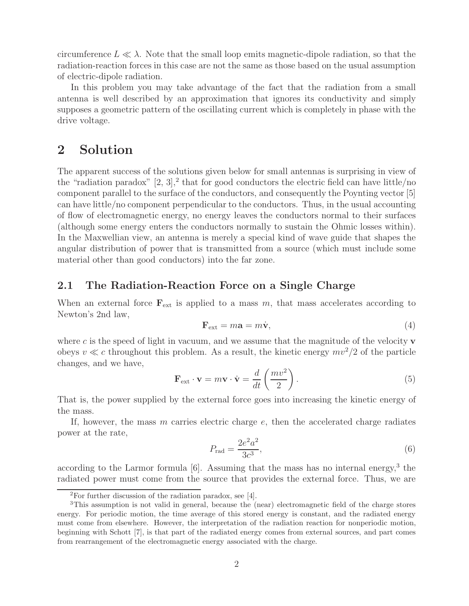circumference  $L \ll \lambda$ . Note that the small loop emits magnetic-dipole radiation, so that the radiation-reaction forces in this case are not the same as those based on the usual assumption of electric-dipole radiation.

In this problem you may take advantage of the fact that the radiation from a small antenna is well described by an approximation that ignores its conductivity and simply supposes a geometric pattern of the oscillating current which is completely in phase with the drive voltage.

# **2 Solution**

The apparent success of the solutions given below for small antennas is surprising in view of the "radiation paradox"  $[2, 3]$ , that for good conductors the electric field can have little/no component parallel to the surface of the conductors, and consequently the Poynting vector [5] can have little/no component perpendicular to the conductors. Thus, in the usual accounting of flow of electromagnetic energy, no energy leaves the conductors normal to their surfaces (although some energy enters the conductors normally to sustain the Ohmic losses within). In the Maxwellian view, an antenna is merely a special kind of wave guide that shapes the angular distribution of power that is transmitted from a source (which must include some material other than good conductors) into the far zone.

### **2.1 The Radiation-Reaction Force on a Single Charge**

When an external force  $\mathbf{F}_{ext}$  is applied to a mass m, that mass accelerates according to Newton's 2nd law,

$$
\mathbf{F}_{\text{ext}} = m\mathbf{a} = m\dot{\mathbf{v}},\tag{4}
$$

where c is the speed of light in vacuum, and we assume that the magnitude of the velocity  $\bf{v}$ obeys  $v \ll c$  throughout this problem. As a result, the kinetic energy  $mv^2/2$  of the particle changes, and we have,

$$
\mathbf{F}_{\text{ext}} \cdot \mathbf{v} = m\mathbf{v} \cdot \dot{\mathbf{v}} = \frac{d}{dt} \left( \frac{mv^2}{2} \right). \tag{5}
$$

That is, the power supplied by the external force goes into increasing the kinetic energy of the mass.

If, however, the mass  $m$  carries electric charge  $e$ , then the accelerated charge radiates power at the rate,

$$
P_{\rm rad} = \frac{2e^2a^2}{3c^3},\tag{6}
$$

according to the Larmor formula  $[6]$ . Assuming that the mass has no internal energy,<sup>3</sup> the radiated power must come from the source that provides the external force. Thus, we are

<sup>2</sup>For further discussion of the radiation paradox, see [4].

<sup>3</sup>This assumption is not valid in general, because the (near) electromagnetic field of the charge stores energy. For periodic motion, the time average of this stored energy is constant, and the radiated energy must come from elsewhere. However, the interpretation of the radiation reaction for nonperiodic motion, beginning with Schott [7], is that part of the radiated energy comes from external sources, and part comes from rearrangement of the electromagnetic energy associated with the charge.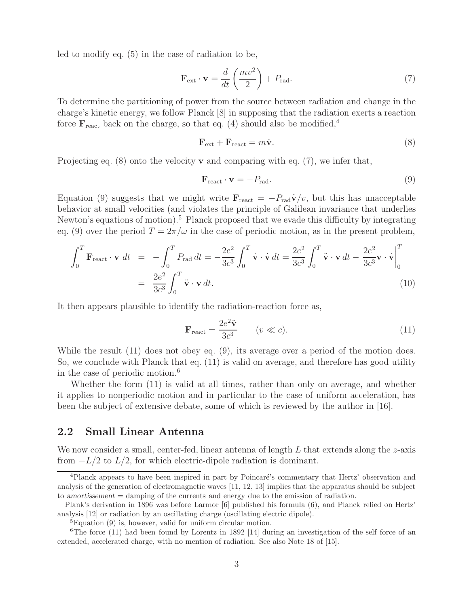led to modify eq. (5) in the case of radiation to be,

$$
\mathbf{F}_{\text{ext}} \cdot \mathbf{v} = \frac{d}{dt} \left( \frac{mv^2}{2} \right) + P_{\text{rad}}.\tag{7}
$$

To determine the partitioning of power from the source between radiation and change in the charge's kinetic energy, we follow Planck [8] in supposing that the radiation exerts a reaction force  $\mathbf{F}_{\text{react}}$  back on the charge, so that eq. (4) should also be modified,<sup>4</sup>

$$
\mathbf{F}_{\text{ext}} + \mathbf{F}_{\text{react}} = m\dot{\mathbf{v}}.\tag{8}
$$

Projecting eq. (8) onto the velocity **v** and comparing with eq. (7), we infer that,

$$
\mathbf{F}_{\text{react}} \cdot \mathbf{v} = -P_{\text{rad}}.\tag{9}
$$

Equation (9) suggests that we might write  $\mathbf{F}_{\text{react}} = -P_{\text{rad}}\hat{\mathbf{v}}/v$ , but this has unacceptable behavior at small velocities (and violates the principle of Galilean invariance that underlies Newton's equations of motion).<sup>5</sup> Planck proposed that we evade this difficulty by integrating eq. (9) over the period  $T = 2\pi/\omega$  in the case of periodic motion, as in the present problem,

$$
\int_{0}^{T} \mathbf{F}_{\text{react}} \cdot \mathbf{v} \, dt = -\int_{0}^{T} P_{\text{rad}} \, dt = -\frac{2e^{2}}{3c^{3}} \int_{0}^{T} \dot{\mathbf{v}} \cdot \dot{\mathbf{v}} \, dt = \frac{2e^{2}}{3c^{3}} \int_{0}^{T} \ddot{\mathbf{v}} \cdot \mathbf{v} \, dt - \frac{2e^{2}}{3c^{3}} \mathbf{v} \cdot \dot{\mathbf{v}} \Big|_{0}^{T}
$$
\n
$$
= \frac{2e^{2}}{3c^{3}} \int_{0}^{T} \ddot{\mathbf{v}} \cdot \mathbf{v} \, dt. \tag{10}
$$

It then appears plausible to identify the radiation-reaction force as,

$$
\mathbf{F}_{\text{react}} = \frac{2e^2 \ddot{\mathbf{v}}}{3c^3} \qquad (v \ll c). \tag{11}
$$

While the result (11) does not obey eq. (9), its average over a period of the motion does. So, we conclude with Planck that eq. (11) is valid on average, and therefore has good utility in the case of periodic motion.<sup>6</sup>

Whether the form (11) is valid at all times, rather than only on average, and whether it applies to nonperiodic motion and in particular to the case of uniform acceleration, has been the subject of extensive debate, some of which is reviewed by the author in [16].

#### **2.2 Small Linear Antenna**

We now consider a small, center-fed, linear antenna of length  $L$  that extends along the  $z$ -axis from  $-L/2$  to  $L/2$ , for which electric-dipole radiation is dominant.

<sup>&</sup>lt;sup>4</sup>Planck appears to have been inspired in part by Poincaré's commentary that Hertz' observation and analysis of the generation of electromagnetic waves [11, 12, 13] implies that the apparatus should be subject to *amortissement* = damping of the currents and energy due to the emission of radiation.

Plank's derivation in 1896 was before Larmor [6] published his formula (6), and Planck relied on Hertz' analysis [12] or radiation by an oscillating charge (oscillating electric dipole).

<sup>5</sup>Equation (9) is, however, valid for uniform circular motion.

<sup>&</sup>lt;sup>6</sup>The force (11) had been found by Lorentz in 1892 [14] during an investigation of the self force of an extended, accelerated charge, with no mention of radiation. See also Note 18 of [15].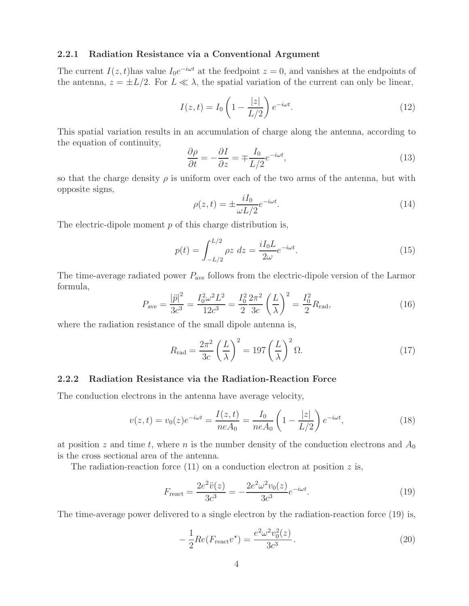#### **2.2.1 Radiation Resistance via a Conventional Argument**

The current  $I(z, t)$  has value  $I_0e^{-i\omega t}$  at the feedpoint  $z = 0$ , and vanishes at the endpoints of the antenna,  $z = \pm L/2$ . For  $L \ll \lambda$ , the spatial variation of the current can only be linear,

$$
I(z,t) = I_0 \left( 1 - \frac{|z|}{L/2} \right) e^{-i\omega t}.
$$
\n(12)

This spatial variation results in an accumulation of charge along the antenna, according to the equation of continuity,

$$
\frac{\partial \rho}{\partial t} = -\frac{\partial I}{\partial z} = \mp \frac{I_0}{L/2} e^{-i\omega t},\tag{13}
$$

so that the charge density  $\rho$  is uniform over each of the two arms of the antenna, but with opposite signs,

$$
\rho(z,t) = \pm \frac{iI_0}{\omega L/2} e^{-i\omega t}.
$$
\n(14)

The electric-dipole moment  $p$  of this charge distribution is,

$$
p(t) = \int_{-L/2}^{L/2} \rho z \, dz = \frac{iI_0 L}{2\omega} e^{-i\omega t}.
$$
\n(15)

The time-average radiated power  $P_{\text{ave}}$  follows from the electric-dipole version of the Larmor formula,

$$
P_{\text{ave}} = \frac{|\ddot{p}|^2}{3c^3} = \frac{I_0^2 \omega^2 L^2}{12c^3} = \frac{I_0^2}{2} \frac{2\pi^2}{3c} \left(\frac{L}{\lambda}\right)^2 = \frac{I_0^2}{2} R_{\text{rad}},\tag{16}
$$

where the radiation resistance of the small dipole antenna is,

$$
R_{\rm rad} = \frac{2\pi^2}{3c} \left(\frac{L}{\lambda}\right)^2 = 197 \left(\frac{L}{\lambda}\right)^2 \Omega.
$$
 (17)

#### **2.2.2 Radiation Resistance via the Radiation-Reaction Force**

The conduction electrons in the antenna have average velocity,

$$
v(z,t) = v_0(z)e^{-i\omega t} = \frac{I(z,t)}{neA_0} = \frac{I_0}{neA_0} \left(1 - \frac{|z|}{L/2}\right)e^{-i\omega t},\tag{18}
$$

at position z and time t, where n is the number density of the conduction electrons and  $A_0$ is the cross sectional area of the antenna.

The radiation-reaction force  $(11)$  on a conduction electron at position z is,

$$
F_{\text{react}} = \frac{2e^2\ddot{v}(z)}{3c^3} = -\frac{2e^2\omega^2v_0(z)}{3c^3}e^{-i\omega t}.\tag{19}
$$

The time-average power delivered to a single electron by the radiation-reaction force (19) is,

$$
-\frac{1}{2}Re(F_{\text{react}}v^*) = \frac{e^2 \omega^2 v_0^2(z)}{3c^3}.
$$
\n(20)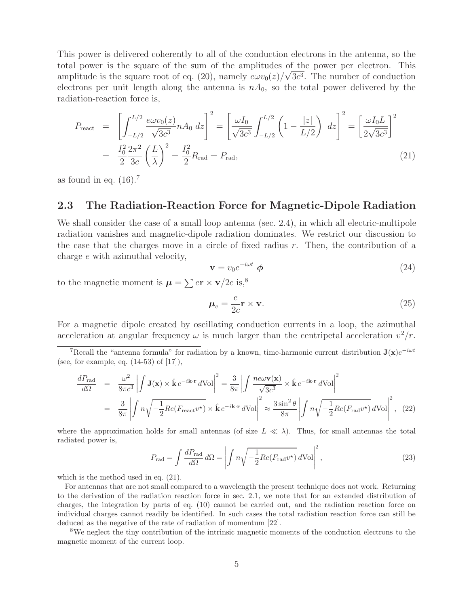This power is delivered coherently to all of the conduction electrons in the antenna, so the total power is the square of the sum of the amplitudes of the power per electron. This amplitude is the square root of eq. (20), namely  $e\omega v_0(z)/\sqrt{3c^3}$ . The number of conduction electrons per unit length along the antenna is  $nA_0$ , so the total power delivered by the radiation-reaction force is,

$$
P_{\text{react}} = \left[ \int_{-L/2}^{L/2} \frac{e\omega v_0(z)}{\sqrt{3c^3}} n A_0 dz \right]^2 = \left[ \frac{\omega I_0}{\sqrt{3c^3}} \int_{-L/2}^{L/2} \left( 1 - \frac{|z|}{L/2} \right) dz \right]^2 = \left[ \frac{\omega I_0 L}{2\sqrt{3c^3}} \right]^2
$$
  
=  $\frac{I_0^2}{2} \frac{2\pi^2}{3c} \left( \frac{L}{\lambda} \right)^2 = \frac{I_0^2}{2} R_{\text{rad}} = P_{\text{rad}},$  (21)

as found in eq.  $(16).7$ 

### **2.3 The Radiation-Reaction Force for Magnetic-Dipole Radiation**

We shall consider the case of a small loop antenna (sec. 2.4), in which all electric-multipole radiation vanishes and magnetic-dipole radiation dominates. We restrict our discussion to the case that the charges move in a circle of fixed radius  $r$ . Then, the contribution of a charge e with azimuthal velocity,

$$
\mathbf{v} = v_0 e^{-i\omega t} \phi \tag{24}
$$

to the magnetic moment is  $\mu = \sum e\mathbf{r} \times \mathbf{v}/2c$  is,<sup>8</sup>

$$
\mu_e = \frac{e}{2c} \mathbf{r} \times \mathbf{v}.
$$
\n(25)

For a magnetic dipole created by oscillating conduction currents in a loop, the azimuthal acceleration at angular frequency  $\omega$  is much larger than the centripetal acceleration  $v^2/r$ .

$$
\frac{dP_{\text{rad}}}{d\Omega} = \frac{\omega^2}{8\pi c^3} \left| \int \mathbf{J}(\mathbf{x}) \times \hat{\mathbf{k}} e^{-i\mathbf{k} \cdot \mathbf{r}} d\text{Vol} \right|^2 = \frac{3}{8\pi} \left| \int \frac{ne\omega \mathbf{v}(\mathbf{x})}{\sqrt{3c^3}} \times \hat{\mathbf{k}} e^{-i\mathbf{k} \cdot \mathbf{r}} d\text{Vol} \right|^2
$$
  
\n
$$
= \frac{3}{8\pi} \left| \int n \sqrt{-\frac{1}{2} Re(F_{\text{react}} v^*)} \times \hat{\mathbf{k}} e^{-i\mathbf{k} \cdot \mathbf{r}} d\text{Vol} \right|^2 \approx \frac{3 \sin^2 \theta}{8\pi} \left| \int n \sqrt{-\frac{1}{2} Re(F_{\text{rad}} v^*)} d\text{Vol} \right|^2, (22)
$$

where the approximation holds for small antennas (of size  $L \ll \lambda$ ). Thus, for small antennas the total radiated power is,  $\Omega$ 

$$
P_{\rm rad} = \int \frac{dP_{\rm rad}}{d\Omega} d\Omega = \left| \int n \sqrt{-\frac{1}{2} Re(F_{\rm rad} v^*)} \, d\text{Vol} \right|^2, \tag{23}
$$

which is the method used in eq.  $(21)$ .

For antennas that are not small compared to a wavelength the present technique does not work. Returning to the derivation of the radiation reaction force in sec. 2.1, we note that for an extended distribution of charges, the integration by parts of eq. (10) cannot be carried out, and the radiation reaction force on individual charges cannot readily be identified. In such cases the total radiation reaction force can still be deduced as the negative of the rate of radiation of momentum [22].

<sup>8</sup>We neglect the tiny contribution of the intrinsic magnetic moments of the conduction electrons to the magnetic moment of the current loop.

<sup>&</sup>lt;sup>7</sup>Recall the "antenna formula" for radiation by a known, time-harmonic current distribution  $J(x)e^{-i\omega t}$ (see, for example, eq. (14-53) of [17]),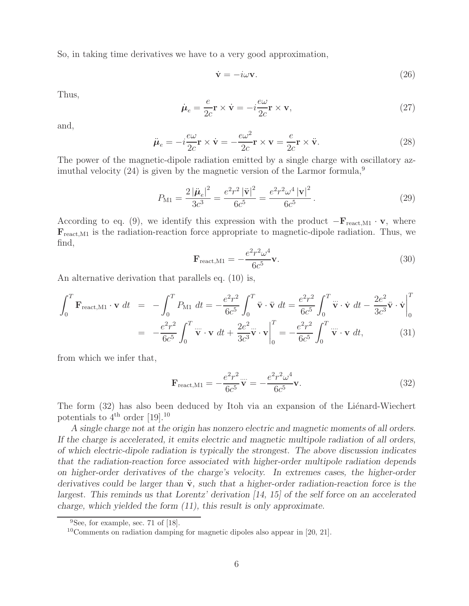So, in taking time derivatives we have to a very good approximation,

$$
\dot{\mathbf{v}} = -i\omega \mathbf{v}.\tag{26}
$$

Thus,

$$
\dot{\mu}_e = \frac{e}{2c} \mathbf{r} \times \dot{\mathbf{v}} = -i \frac{e\omega}{2c} \mathbf{r} \times \mathbf{v},\tag{27}
$$

and,

$$
\ddot{\boldsymbol{\mu}}_e = -i\frac{e\omega}{2c}\mathbf{r} \times \dot{\mathbf{v}} = -\frac{e\omega^2}{2c}\mathbf{r} \times \mathbf{v} = \frac{e}{2c}\mathbf{r} \times \ddot{\mathbf{v}}.
$$
\n(28)

The power of the magnetic-dipole radiation emitted by a single charge with oscillatory azimuthal velocity  $(24)$  is given by the magnetic version of the Larmor formula,<sup>9</sup>

$$
P_{\rm M1} = \frac{2|\ddot{\mu}_e|^2}{3c^3} = \frac{e^2r^2|\ddot{\mathbf{v}}|^2}{6c^5} = \frac{e^2r^2\omega^4|\mathbf{v}|^2}{6c^5}.
$$
 (29)

According to eq. (9), we identify this expression with the product  $-\mathbf{F}_{\text{react},M1} \cdot \mathbf{v}$ , where  $\mathbf{F}_{\text{react},\text{M1}}$  is the radiation-reaction force appropriate to magnetic-dipole radiation. Thus, we find,

$$
\mathbf{F}_{\text{react,M1}} = -\frac{e^2 r^2 \omega^4}{6c^5} \mathbf{v}.
$$
 (30)

An alternative derivation that parallels eq. (10) is,

$$
\int_{0}^{T} \mathbf{F}_{\text{react,M1}} \cdot \mathbf{v} dt = -\int_{0}^{T} P_{\text{M1}} dt = -\frac{e^{2}r^{2}}{6c^{5}} \int_{0}^{T} \ddot{\mathbf{v}} \cdot \ddot{\mathbf{v}} dt = \frac{e^{2}r^{2}}{6c^{5}} \int_{0}^{T} \ddot{\mathbf{v}} \cdot \dot{\mathbf{v}} dt - \frac{2e^{2}}{3c^{3}} \ddot{\mathbf{v}} \cdot \dot{\mathbf{v}} \Big|_{0}^{T}
$$

$$
= -\frac{e^{2}r^{2}}{6c^{5}} \int_{0}^{T} \dddot{\mathbf{v}} \cdot \mathbf{v} dt + \frac{2e^{2}}{3c^{3}} \dddot{\mathbf{v}} \cdot \mathbf{v} \Big|_{0}^{T} = -\frac{e^{2}r^{2}}{6c^{5}} \int_{0}^{T} \dddot{\mathbf{v}} \cdot \mathbf{v} dt,
$$
(31)

from which we infer that,

$$
\mathbf{F}_{\text{react,M1}} = -\frac{e^2 r^2}{6c^5} \mathbf{v} = -\frac{e^2 r^2 \omega^4}{6c^5} \mathbf{v}.
$$
 (32)

The form (32) has also been deduced by Itoh via an expansion of the Liénard-Wiechert potentials to  $4^{\text{th}}$  order [19].<sup>10</sup>

*A single charge not at the origin has nonzero electric and magnetic moments of all orders. If the charge is accelerated, it emits electric and magnetic multipole radiation of all orders, of which electric-dipole radiation is typically the strongest. The above discussion indicates that the radiation-reaction force associated with higher-order multipole radiation depends on higher-order derivatives of the charge's velocity. In extremes cases, the higher-order derivatives could be larger than*  $\ddot{v}$ *, such that a higher-order radiation-reaction force is the largest. This reminds us that Lorentz' derivation [14, 15] of the self force on an accelerated charge, which yielded the form (11), this result is only approximate.*

<sup>&</sup>lt;sup>9</sup>See, for example, sec. 71 of [18].

 $10$ Comments on radiation damping for magnetic dipoles also appear in [20, 21].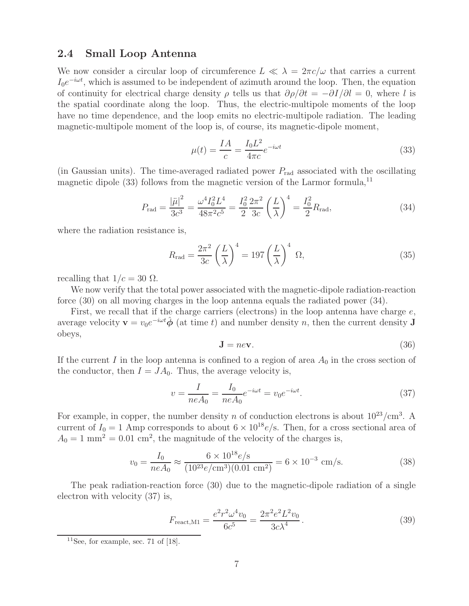### **2.4 Small Loop Antenna**

We now consider a circular loop of circumference  $L \ll \lambda = 2\pi c/\omega$  that carries a current I<sub>0</sub>e<sup> $-iωt$ </sup>, which is assumed to be independent of azimuth around the loop. Then, the equation of continuity for electrical charge density  $\rho$  tells us that  $\partial \rho / \partial t = -\partial I / \partial l = 0$ , where l is the spatial coordinate along the loop. Thus, the electric-multipole moments of the loop have no time dependence, and the loop emits no electric-multipole radiation. The leading magnetic-multipole moment of the loop is, of course, its magnetic-dipole moment,

$$
\mu(t) = \frac{IA}{c} = \frac{I_0 L^2}{4\pi c} e^{-i\omega t}
$$
\n(33)

(in Gaussian units). The time-averaged radiated power  $P_{\text{rad}}$  associated with the oscillating magnetic dipole  $(33)$  follows from the magnetic version of the Larmor formula,<sup>11</sup>

$$
P_{\rm rad} = \frac{|\ddot{\mu}|^2}{3c^3} = \frac{\omega^4 I_0^2 L^4}{48\pi^2 c^5} = \frac{I_0^2}{2} \frac{2\pi^2}{3c} \left(\frac{L}{\lambda}\right)^4 = \frac{I_0^2}{2} R_{\rm rad},\tag{34}
$$

where the radiation resistance is,

$$
R_{\rm rad} = \frac{2\pi^2}{3c} \left(\frac{L}{\lambda}\right)^4 = 197 \left(\frac{L}{\lambda}\right)^4 \Omega,\tag{35}
$$

recalling that  $1/c = 30 \Omega$ .

We now verify that the total power associated with the magnetic-dipole radiation-reaction force (30) on all moving charges in the loop antenna equals the radiated power (34).

First, we recall that if the charge carriers (electrons) in the loop antenna have charge  $e$ , average velocity  $\mathbf{v} = v_0 e^{-i\omega t} \hat{\boldsymbol{\phi}}$  (at time t) and number density n, then the current density **J** obeys,

$$
\mathbf{J} = ne\mathbf{v}.\tag{36}
$$

If the current I in the loop antenna is confined to a region of area  $A_0$  in the cross section of the conductor, then  $I = JA_0$ . Thus, the average velocity is,

$$
v = \frac{I}{neA_0} = \frac{I_0}{neA_0}e^{-i\omega t} = v_0e^{-i\omega t}.
$$
 (37)

For example, in copper, the number density n of conduction electrons is about  $10^{23}/\text{cm}^3$ . A current of  $I_0 = 1$  Amp corresponds to about  $6 \times 10^{18} e/s$ . Then, for a cross sectional area of  $A_0 = 1$  mm<sup>2</sup> = 0.01 cm<sup>2</sup>, the magnitude of the velocity of the charges is,

$$
v_0 = \frac{I_0}{neA_0} \approx \frac{6 \times 10^{18} e/\text{s}}{(10^{23} e/\text{cm}^3)(0.01 \text{ cm}^2)} = 6 \times 10^{-3} \text{ cm/s}.
$$
 (38)

The peak radiation-reaction force (30) due to the magnetic-dipole radiation of a single electron with velocity (37) is,

$$
F_{\text{react,M1}} = \frac{e^2 r^2 \omega^4 v_0}{6c^5} = \frac{2\pi^2 e^2 L^2 v_0}{3c\lambda^4}.
$$
 (39)

 $11$ See, for example, sec. 71 of [18].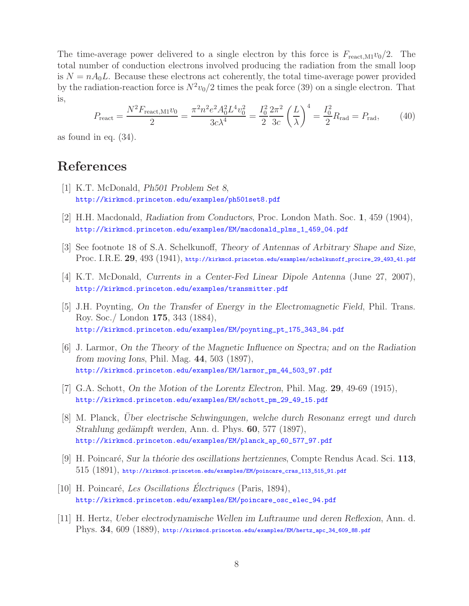The time-average power delivered to a single electron by this force is  $F_{\text{react},M1}v_0/2$ . The total number of conduction electrons involved producing the radiation from the small loop is  $N = nA_0L$ . Because these electrons act coherently, the total time-average power provided by the radiation-reaction force is  $N^2v_0/2$  times the peak force (39) on a single electron. That is,

$$
P_{\text{react}} = \frac{N^2 F_{\text{react}, \text{M1}} v_0}{2} = \frac{\pi^2 n^2 e^2 A_0^2 L^4 v_0^2}{3c \lambda^4} = \frac{I_0^2}{2} \frac{2\pi^2}{3c} \left(\frac{L}{\lambda}\right)^4 = \frac{I_0^2}{2} R_{\text{rad}} = P_{\text{rad}},\tag{40}
$$

as found in eq. (34).

# **References**

- [1] K.T. McDonald, *Ph501 Problem Set 8*, http://kirkmcd.princeton.edu/examples/ph501set8.pdf
- [2] H.H. Macdonald, *Radiation from Conductors*, Proc. London Math. Soc. **1**, 459 (1904), http://kirkmcd.princeton.edu/examples/EM/macdonald\_plms\_1\_459\_04.pdf
- [3] See footnote 18 of S.A. Schelkunoff, *Theory of Antennas of Arbitrary Shape and Size*, Proc. I.R.E. **29**, 493 (1941), http://kirkmcd.princeton.edu/examples/schelkunoff\_procire\_29\_493\_41.pdf
- [4] K.T. McDonald, *Currents in a Center-Fed Linear Dipole Antenna* (June 27, 2007), http://kirkmcd.princeton.edu/examples/transmitter.pdf
- [5] J.H. Poynting, *On the Transfer of Energy in the Electromagnetic Field*, Phil. Trans. Roy. Soc./ London **175**, 343 (1884), http://kirkmcd.princeton.edu/examples/EM/poynting\_pt\_175\_343\_84.pdf
- [6] J. Larmor, *On the Theory of the Magnetic Influence on Spectra; and on the Radiation from moving Ions*, Phil. Mag. **44**, 503 (1897), http://kirkmcd.princeton.edu/examples/EM/larmor\_pm\_44\_503\_97.pdf
- [7] G.A. Schott, *On the Motion of the Lorentz Electron*, Phil. Mag. **29**, 49-69 (1915), http://kirkmcd.princeton.edu/examples/EM/schott\_pm\_29\_49\_15.pdf
- [8] M. Planck, *Uber electrische Schwingungen, welche durch Resonanz erregt und durch ¨ Strahlung ged¨ampft werden*, Ann. d. Phys. **60**, 577 (1897), http://kirkmcd.princeton.edu/examples/EM/planck\_ap\_60\_577\_97.pdf
- [9] H. Poincar´e, *Sur la th´eorie des oscillations hertziennes*, Compte Rendus Acad. Sci. **113**, 515 (1891), http://kirkmcd.princeton.edu/examples/EM/poincare\_cras\_113\_515\_91.pdf
- [10] H. Poincar´e, *Les Oscillations Electriques ´* (Paris, 1894), http://kirkmcd.princeton.edu/examples/EM/poincare\_osc\_elec\_94.pdf
- [11] H. Hertz, *Ueber electrodynamische Wellen im Luftraume und deren Reflexion*, Ann. d. Phys. **34**, 609 (1889), http://kirkmcd.princeton.edu/examples/EM/hertz\_apc\_34\_609\_88.pdf